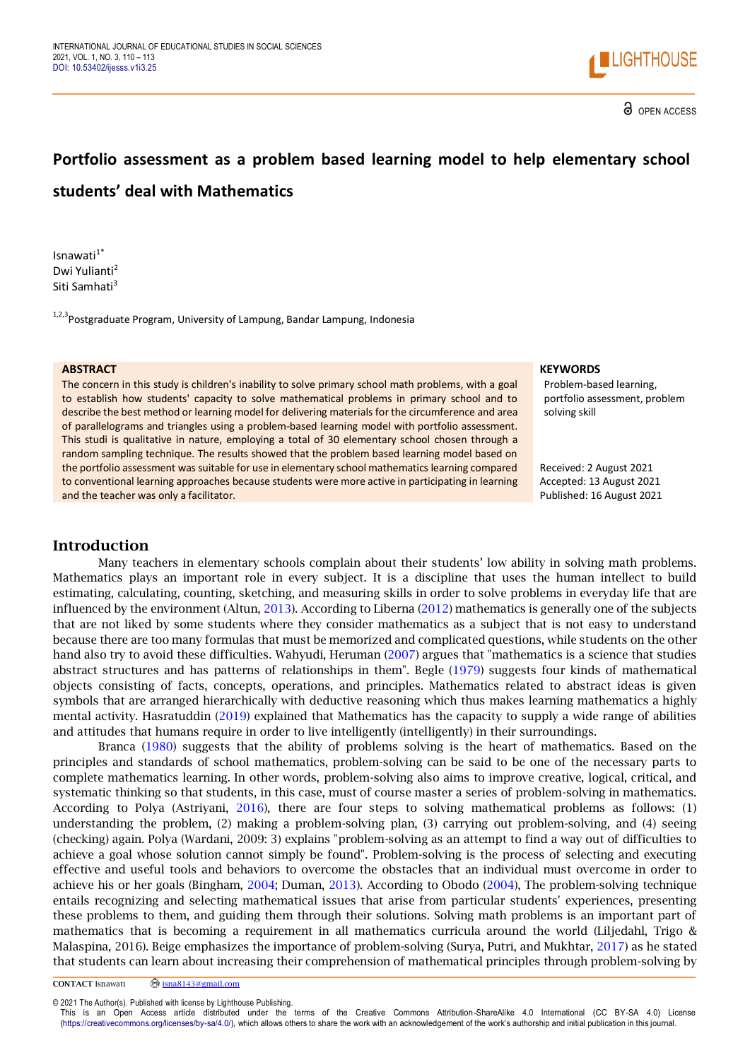

# **Portfolio assessment as a problem based learning model to help elementary school students' deal with Mathematics**

 $Isnawati<sup>1*</sup>$ Dwi Yulianti<sup>2</sup> Siti Samhati<sup>3</sup>

<sup>1,2,3</sup>Postgraduate Program, University of Lampung, Bandar Lampung, Indonesia

The concern in this study is children's inability to solve primary school math problems, with a goal to establish how students' capacity to solve mathematical problems in primary school and to describe the best method or learning model for delivering materials for the circumference and area of parallelograms and triangles using a problem-based learning model with portfolio assessment. This studi is qualitative in nature, employing a total of 30 elementary school chosen through a random sampling technique. The results showed that the problem based learning model based on the portfolio assessment was suitable for use in elementary school mathematics learning compared to conventional learning approaches because students were more active in participating in learning and the teacher was only a facilitator.

#### **ABSTRACT KEYWORDS**

Problem-based learning, portfolio assessment, problem solving skill

Received: 2 August 2021 Accepted: 13 August 2021 Published: 16 August 2021

# **Introduction**

Many teachers in elementary schools complain about their students' low ability in solving math problems. Mathematics plays an important role in every subject. It is a discipline that uses the human intellect to build estimating, calculating, counting, sketching, and measuring skills in order to solve problems in everyday life that are influenced by the environment (Altun, [2013\)](#page-2-0). According to Liberna [\(2012\)](#page-3-0) mathematics is generally one of the subjects that are not liked by some students where they consider mathematics as a subject that is not easy to understand because there are too many formulas that must be memorized and complicated questions, while students on the other hand also try to avoid these difficulties. Wahyudi, Heruman [\(2007\)](#page-3-1) argues that "mathematics is a science that studies abstract structures and has patterns of relationships in them". Begle [\(1979\)](#page-2-1) suggests four kinds of mathematical objects consisting of facts, concepts, operations, and principles. Mathematics related to abstract ideas is given symbols that are arranged hierarchically with deductive reasoning which thus makes learning mathematics a highly mental activity. Hasratuddin [\(2019\)](#page-3-2) explained that Mathematics has the capacity to supply a wide range of abilities and attitudes that humans require in order to live intelligently (intelligently) in their surroundings.

Branca [\(1980\)](#page-2-2) suggests that the ability of problems solving is the heart of mathematics. Based on the principles and standards of school mathematics, problem-solving can be said to be one of the necessary parts to complete mathematics learning. In other words, problem-solving also aims to improve creative, logical, critical, and systematic thinking so that students, in this case, must of course master a series of problem-solving in mathematics. According to Polya (Astriyani, [2016\)](#page-2-3), there are four steps to solving mathematical problems as follows: (1) understanding the problem, (2) making a problem-solving plan, (3) carrying out problem-solving, and (4) seeing (checking) again. Polya (Wardani, 2009: 3) explains "problem-solving as an attempt to find a way out of difficulties to achieve a goal whose solution cannot simply be found". Problem-solving is the process of selecting and executing effective and useful tools and behaviors to overcome the obstacles that an individual must overcome in order to achieve his or her goals (Bingham, [2004;](#page-2-4) Duman, [2013\)](#page-3-3). According to Obodo [\(2004\)](#page-3-2), The problem-solving technique entails recognizing and selecting mathematical issues that arise from particular students' experiences, presenting these problems to them, and guiding them through their solutions. Solving math problems is an important part of mathematics that is becoming a requirement in all mathematics curricula around the world (Liljedahl, Trigo & Malaspina, 2016). Beige emphasizes the importance of problem-solving (Surya, Putri, and Mukhtar[, 2017\)](#page-3-4) as he stated that students can learn about increasing their comprehension of mathematical principles through problem-solving by

**CONTACT** Isnawati **in CONTACT** Isnawati **in CONTACT** 

© 2021 The Author(s). Published with license by Lighthouse Publishing.

This is an Open Access article distributed under the terms of the Creative Commons Attribution-ShareAlike 4.0 International (CC BY-SA 4.0) License (https://creativecommons.org/licenses/by-sa/4.0/), which allows others to share the work with an acknowledgement of the work's authorship and initial publication in this journal.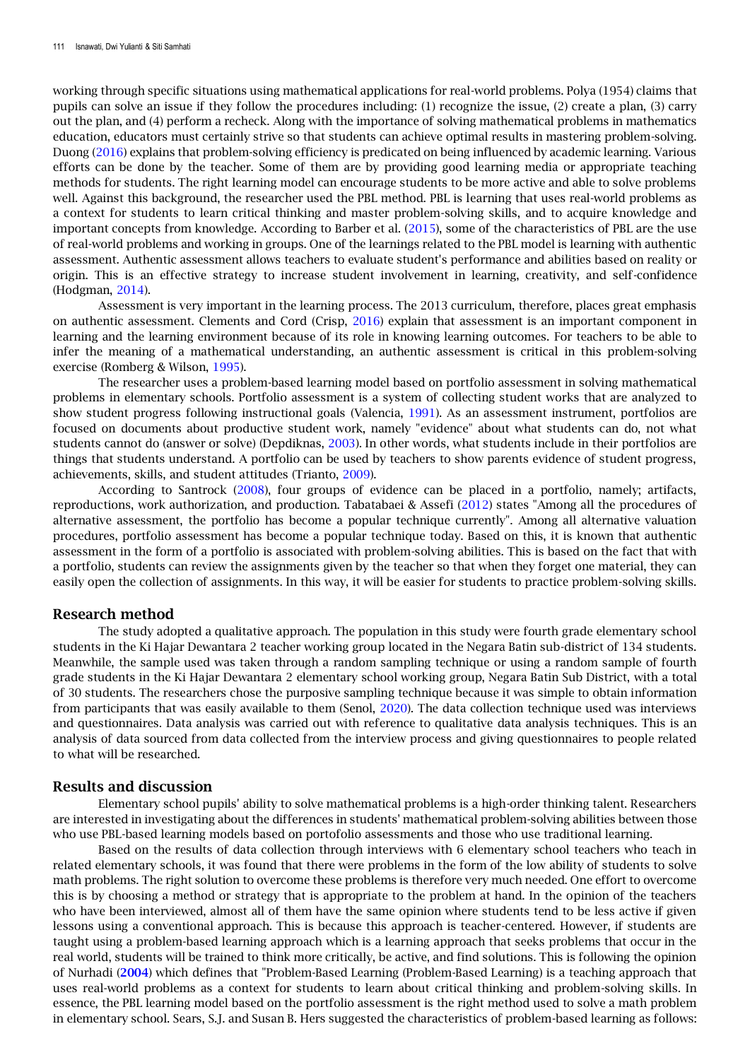working through specific situations using mathematical applications for real-world problems. Polya (1954) claims that pupils can solve an issue if they follow the procedures including: (1) recognize the issue, (2) create a plan, (3) carry out the plan, and (4) perform a recheck. Along with the importance of solving mathematical problems in mathematics education, educators must certainly strive so that students can achieve optimal results in mastering problem-solving. Duong [\(2016\)](#page-3-5) explains that problem-solving efficiency is predicated on being influenced by academic learning. Various efforts can be done by the teacher. Some of them are by providing good learning media or appropriate teaching methods for students. The right learning model can encourage students to be more active and able to solve problems well. Against this background, the researcher used the PBL method. PBL is learning that uses real-world problems as a context for students to learn critical thinking and master problem-solving skills, and to acquire knowledge and important concepts from knowledge. According to Barber et al. [\(2015\)](#page-2-1), some of the characteristics of PBL are the use of real-world problems and working in groups. One of the learnings related to the PBL model is learning with authentic assessment. Authentic assessment allows teachers to evaluate student's performance and abilities based on reality or origin. This is an effective strategy to increase student involvement in learning, creativity, and self-confidence (Hodgman, [2014\)](#page-3-6).

Assessment is very important in the learning process. The 2013 curriculum, therefore, places great emphasis on authentic assessment. Clements and Cord (Crisp, [2016\)](#page-2-5) explain that assessment is an important component in learning and the learning environment because of its role in knowing learning outcomes. For teachers to be able to infer the meaning of a mathematical understanding, an authentic assessment is critical in this problem-solving exercise (Romberg & Wilson, [1995\)](#page-3-7).

The researcher uses a problem-based learning model based on portfolio assessment in solving mathematical problems in elementary schools. Portfolio assessment is a system of collecting student works that are analyzed to show student progress following instructional goals (Valencia, [1991\)](#page-2-6). As an assessment instrument, portfolios are focused on documents about productive student work, namely "evidence" about what students can do, not what students cannot do (answer or solve) (Depdiknas, [2003\)](#page-2-7). In other words, what students include in their portfolios are things that students understand. A portfolio can be used by teachers to show parents evidence of student progress, achievements, skills, and student attitudes (Trianto[, 2009\)](#page-3-8).

According to Santrock [\(2008\)](#page-3-9), four groups of evidence can be placed in a portfolio, namely; artifacts, reproductions, work authorization, and production. Tabatabaei & Assefi [\(2012\)](#page-3-10) states "Among all the procedures of alternative assessment, the portfolio has become a popular technique currently". Among all alternative valuation procedures, portfolio assessment has become a popular technique today. Based on this, it is known that authentic assessment in the form of a portfolio is associated with problem-solving abilities. This is based on the fact that with a portfolio, students can review the assignments given by the teacher so that when they forget one material, they can easily open the collection of assignments. In this way, it will be easier for students to practice problem-solving skills.

### **Research method**

The study adopted a qualitative approach. The population in this study were fourth grade elementary school students in the Ki Hajar Dewantara 2 teacher working group located in the Negara Batin sub-district of 134 students. Meanwhile, the sample used was taken through a random sampling technique or using a random sample of fourth grade students in the Ki Hajar Dewantara 2 elementary school working group, Negara Batin Sub District, with a total of 30 students. The researchers chose the purposive sampling technique because it was simple to obtain information from participants that was easily available to them (Senol, 2020). The data collection technique used was interviews and questionnaires. Data analysis was carried out with reference to qualitative data analysis techniques. This is an analysis of data sourced from data collected from the interview process and giving questionnaires to people related to what will be researched.

### **Results and discussion**

Elementary school pupils' ability to solve mathematical problems is a high-order thinking talent. Researchers are interested in investigating about the differences in students' mathematical problem-solving abilities between those who use PBL-based learning models based on portofolio assessments and those who use traditional learning.

Based on the results of data collection through interviews with 6 elementary school teachers who teach in related elementary schools, it was found that there were problems in the form of the low ability of students to solve math problems. The right solution to overcome these problems is therefore very much needed. One effort to overcome this is by choosing a method or strategy that is appropriate to the problem at hand. In the opinion of the teachers who have been interviewed, almost all of them have the same opinion where students tend to be less active if given lessons using a conventional approach. This is because this approach is teacher-centered. However, if students are taught using a problem-based learning approach which is a learning approach that seeks problems that occur in the real world, students will be trained to think more critically, be active, and find solutions. This is following the opinion of Nurhadi (**[2004](#page-3-11)**) which defines that "Problem-Based Learning (Problem-Based Learning) is a teaching approach that uses real-world problems as a context for students to learn about critical thinking and problem-solving skills. In essence, the PBL learning model based on the portfolio assessment is the right method used to solve a math problem in elementary school. Sears, S.J. and Susan B. Hers suggested the characteristics of problem-based learning as follows: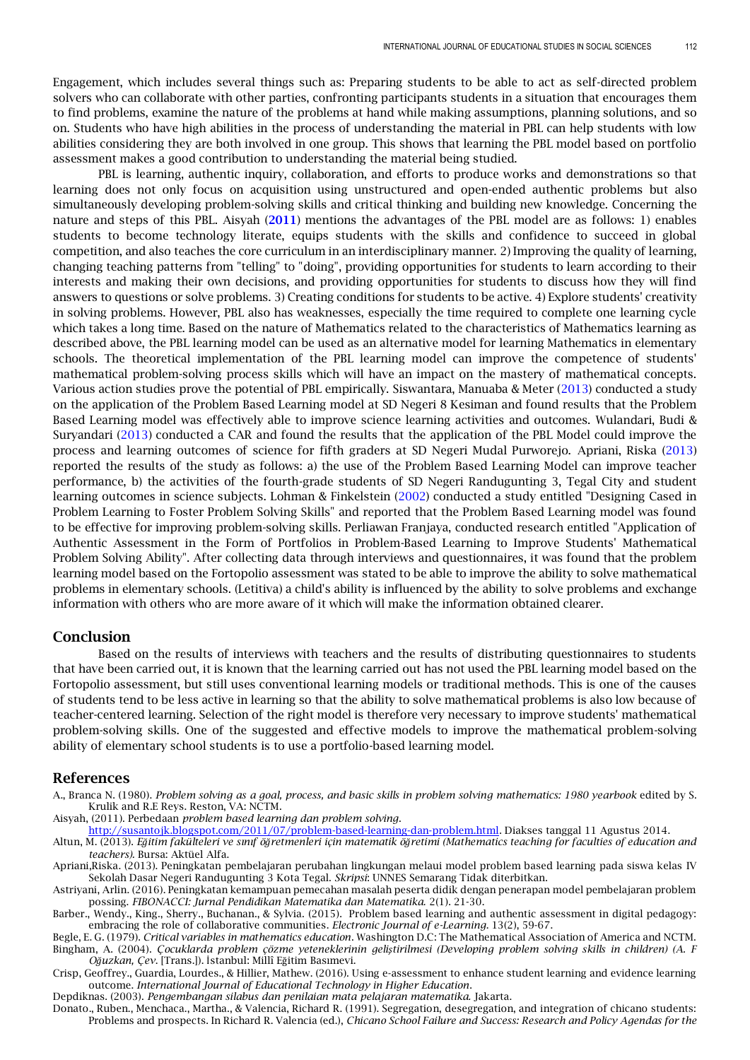Engagement, which includes several things such as: Preparing students to be able to act as self-directed problem solvers who can collaborate with other parties, confronting participants students in a situation that encourages them to find problems, examine the nature of the problems at hand while making assumptions, planning solutions, and so on. Students who have high abilities in the process of understanding the material in PBL can help students with low abilities considering they are both involved in one group. This shows that learning the PBL model based on portfolio assessment makes a good contribution to understanding the material being studied.

PBL is learning, authentic inquiry, collaboration, and efforts to produce works and demonstrations so that learning does not only focus on acquisition using unstructured and open-ended authentic problems but also simultaneously developing problem-solving skills and critical thinking and building new knowledge. Concerning the nature and steps of this PBL. Aisyah (**[2011](#page-2-8)**) mentions the advantages of the PBL model are as follows: 1) enables students to become technology literate, equips students with the skills and confidence to succeed in global competition, and also teaches the core curriculum in an interdisciplinary manner. 2) Improving the quality of learning, changing teaching patterns from "telling" to "doing", providing opportunities for students to learn according to their interests and making their own decisions, and providing opportunities for students to discuss how they will find answers to questions or solve problems. 3) Creating conditions for students to be active. 4) Explore students' creativity in solving problems. However, PBL also has weaknesses, especially the time required to complete one learning cycle which takes a long time. Based on the nature of Mathematics related to the characteristics of Mathematics learning as described above, the PBL learning model can be used as an alternative model for learning Mathematics in elementary schools. The theoretical implementation of the PBL learning model can improve the competence of students' mathematical problem-solving process skills which will have an impact on the mastery of mathematical concepts. Various action studies prove the potential of PBL empirically. Siswantara, Manuaba & Meter [\(2013\)](#page-3-12) conducted a study on the application of the Problem Based Learning model at SD Negeri 8 Kesiman and found results that the Problem Based Learning model was effectively able to improve science learning activities and outcomes. Wulandari, Budi & Suryandari [\(2013\)](#page-3-13) conducted a CAR and found the results that the application of the PBL Model could improve the process and learning outcomes of science for fifth graders at SD Negeri Mudal Purworejo. Apriani, Riska [\(2013\)](#page-2-9) reported the results of the study as follows: a) the use of the Problem Based Learning Model can improve teacher performance, b) the activities of the fourth-grade students of SD Negeri Randugunting 3, Tegal City and student learning outcomes in science subjects. Lohman & Finkelstein [\(2002\)](#page-3-14) conducted a study entitled "Designing Cased in Problem Learning to Foster Problem Solving Skills" and reported that the Problem Based Learning model was found to be effective for improving problem-solving skills. Perliawan Franjaya, conducted research entitled "Application of Authentic Assessment in the Form of Portfolios in Problem-Based Learning to Improve Students' Mathematical Problem Solving Ability". After collecting data through interviews and questionnaires, it was found that the problem learning model based on the Fortopolio assessment was stated to be able to improve the ability to solve mathematical problems in elementary schools. (Letitiva) a child's ability is influenced by the ability to solve problems and exchange information with others who are more aware of it which will make the information obtained clearer.

## **Conclusion**

Based on the results of interviews with teachers and the results of distributing questionnaires to students that have been carried out, it is known that the learning carried out has not used the PBL learning model based on the Fortopolio assessment, but still uses conventional learning models or traditional methods. This is one of the causes of students tend to be less active in learning so that the ability to solve mathematical problems is also low because of teacher-centered learning. Selection of the right model is therefore very necessary to improve students' mathematical problem-solving skills. One of the suggested and effective models to improve the mathematical problem-solving ability of elementary school students is to use a portfolio-based learning model.

#### **References**

<span id="page-2-8"></span><span id="page-2-2"></span>A., Branca N. (1980). *Problem solving as a goal, process, and basic skills in problem solving mathematics: 1980 yearbook* edited by S. Krulik and R.E Reys. Reston, VA: NCTM.

Aisyah, (2011). Perbedaan *problem based learning dan problem solving*.

[http://susantojk.blogspot.com/2011/07/problem-based-learning-dan-problem.html.](http://susantojk.blogspot.com/2011/07/problem-based-learning-dan-problem.html) Diakses tanggal 11 Agustus 2014.

<span id="page-2-0"></span>Altun, M. (2013). *Eğitim fakülteleri ve sınıf öğretmenleri için matematik öğretimi (Mathematics teaching for faculties of education and teachers).* Bursa: Aktüel Alfa.

<span id="page-2-9"></span>Apriani,Riska. (2013). Peningkatan pembelajaran perubahan lingkungan melaui model problem based learning pada siswa kelas IV Sekolah Dasar Negeri Randugunting 3 Kota Tegal. *Skripsi*: UNNES Semarang Tidak diterbitkan.

<span id="page-2-3"></span>Astriyani, Arlin. (2016). Peningkatan kemampuan pemecahan masalah peserta didik dengan penerapan model pembelajaran problem possing. *FIBONACCI: Jurnal Pendidikan Matematika dan Matematika.* 2(1). 21-30.

<span id="page-2-1"></span>Barber., Wendy., King., Sherry., Buchanan., & Sylvia. (2015). Problem based learning and authentic assessment in digital pedagogy: embracing the role of collaborative communities. *Electronic Journal of e-Learning*. 13(2), 59-67.

<span id="page-2-4"></span>Begle, E. G. (1979). *Critical variables in mathematics education*. Washington D.C: The Mathematical Association of America and NCTM. Bingham, A. (2004). *Çocuklarda problem çözme yeteneklerinin geliştirilmesi (Developing problem solving skills in children) (A. F Oğuzkan, Çev*. [Trans.]). İstanbul: Millî Eğitim Basımevi.

<span id="page-2-5"></span>Crisp, Geoffrey., Guardia, Lourdes., & Hillier, Mathew. (2016). Using e-assessment to enhance student learning and evidence learning outcome. *International Journal of Educational Technology in Higher Education*.

<span id="page-2-7"></span>Depdiknas. (2003). *Pengembangan silabus dan penilaian mata pelajaran matematika.* Jakarta.

<span id="page-2-6"></span>Donato., Ruben., Menchaca., Martha., & Valencia, Richard R. (1991). Segregation, desegregation, and integration of chicano students: Problems and prospects. In Richard R. Valencia (ed.), *Chicano School Failure and Success: Research and Policy Agendas for the*